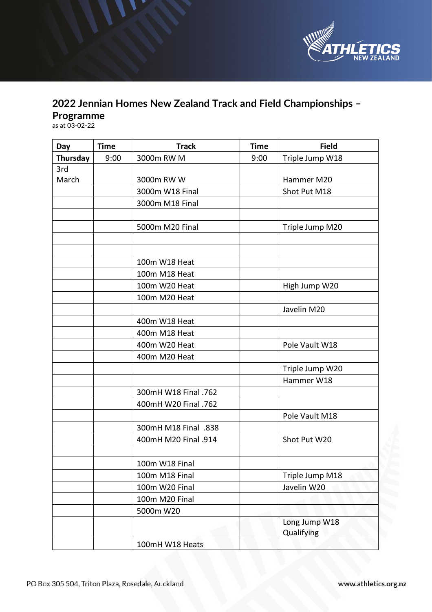

## **2022 Jennian Homes New Zealand Track and Field Championships – Programme**

as at 03-02-22

| Day      | <b>Time</b> | <b>Track</b>         | <b>Time</b> | <b>Field</b>                |
|----------|-------------|----------------------|-------------|-----------------------------|
| Thursday | 9:00        | 3000m RW M           | 9:00        | Triple Jump W18             |
| 3rd      |             |                      |             |                             |
| March    |             | 3000m RW W           |             | Hammer M20                  |
|          |             | 3000m W18 Final      |             | Shot Put M18                |
|          |             | 3000m M18 Final      |             |                             |
|          |             |                      |             |                             |
|          |             | 5000m M20 Final      |             | Triple Jump M20             |
|          |             |                      |             |                             |
|          |             |                      |             |                             |
|          |             | 100m W18 Heat        |             |                             |
|          |             | 100m M18 Heat        |             |                             |
|          |             | 100m W20 Heat        |             | High Jump W20               |
|          |             | 100m M20 Heat        |             |                             |
|          |             |                      |             | Javelin M20                 |
|          |             | 400m W18 Heat        |             |                             |
|          |             | 400m M18 Heat        |             |                             |
|          |             | 400m W20 Heat        |             | Pole Vault W18              |
|          |             | 400m M20 Heat        |             |                             |
|          |             |                      |             | Triple Jump W20             |
|          |             |                      |             | Hammer W18                  |
|          |             | 300mH W18 Final .762 |             |                             |
|          |             | 400mH W20 Final .762 |             |                             |
|          |             |                      |             | Pole Vault M18              |
|          |             | 300mH M18 Final .838 |             |                             |
|          |             | 400mH M20 Final .914 |             | Shot Put W20                |
|          |             |                      |             |                             |
|          |             | 100m W18 Final       |             |                             |
|          |             | 100m M18 Final       |             | Triple Jump M18             |
|          |             | 100m W20 Final       |             | Javelin W20                 |
|          |             | 100m M20 Final       |             |                             |
|          |             | 5000m W20            |             |                             |
|          |             |                      |             | Long Jump W18<br>Qualifying |
|          |             | 100mH W18 Heats      |             |                             |

www.athletics.org.nz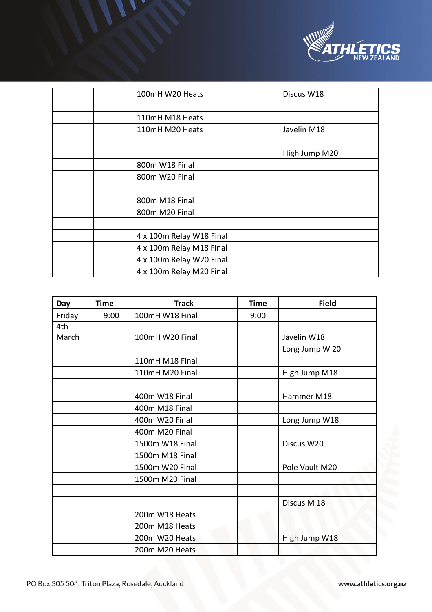

| 100mH W20 Heats          | Discus W18    |
|--------------------------|---------------|
|                          |               |
| 110mH M18 Heats          |               |
| 110mH M20 Heats          | Javelin M18   |
|                          |               |
|                          | High Jump M20 |
| 800m W18 Final           |               |
| 800m W20 Final           |               |
|                          |               |
| 800m M18 Final           |               |
| 800m M20 Final           |               |
|                          |               |
| 4 x 100m Relay W18 Final |               |
| 4 x 100m Relay M18 Final |               |
| 4 x 100m Relay W20 Final |               |
| 4 x 100m Relay M20 Final |               |

| Day    | <b>Time</b> | <b>Track</b>         | <b>Time</b> | <b>Field</b>   |
|--------|-------------|----------------------|-------------|----------------|
| Friday | 9:00        | 100mH W18 Final      | 9:00        |                |
| 4th    |             |                      |             |                |
| March  |             | 100mH W20 Final      |             | Javelin W18    |
|        |             |                      |             | Long Jump W 20 |
|        |             | 110mH M18 Final      |             |                |
|        |             | 110mH M20 Final      |             | High Jump M18  |
|        |             |                      |             |                |
|        |             | 400m W18 Final       |             | Hammer M18     |
|        |             | 400m M18 Final       |             |                |
|        |             | 400m W20 Final       |             | Long Jump W18  |
|        |             | 400m M20 Final       |             |                |
|        |             | 1500m W18 Final      |             | Discus W20     |
|        |             | 1500m M18 Final      |             |                |
|        |             | 1500m W20 Final      |             | Pole Vault M20 |
|        |             | 1500m M20 Final      |             |                |
|        |             |                      |             |                |
|        |             |                      |             | Discus M 18    |
|        |             | 200m W18 Heats       |             |                |
|        |             | 200m M18 Heats<br>-6 |             |                |
|        |             | 200m W20 Heats       |             | High Jump W18  |
|        |             | 200m M20 Heats       |             |                |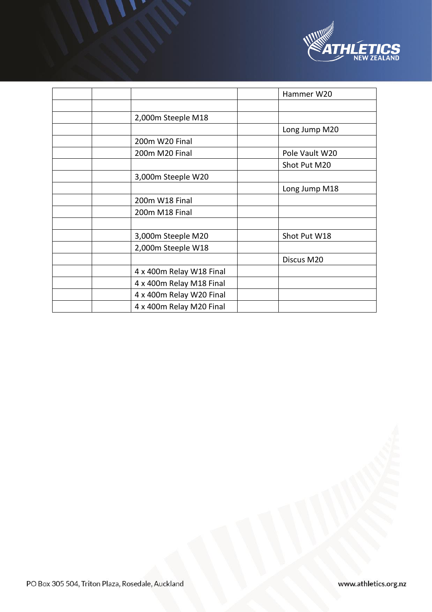

|                          | Hammer W20     |
|--------------------------|----------------|
|                          |                |
| 2,000m Steeple M18       |                |
|                          | Long Jump M20  |
| 200m W20 Final           |                |
| 200m M20 Final           | Pole Vault W20 |
|                          | Shot Put M20   |
| 3,000m Steeple W20       |                |
|                          | Long Jump M18  |
| 200m W18 Final           |                |
| 200m M18 Final           |                |
|                          |                |
| 3,000m Steeple M20       | Shot Put W18   |
| 2,000m Steeple W18       |                |
|                          | Discus M20     |
| 4 x 400m Relay W18 Final |                |
| 4 x 400m Relay M18 Final |                |
| 4 x 400m Relay W20 Final |                |
| 4 x 400m Relay M20 Final |                |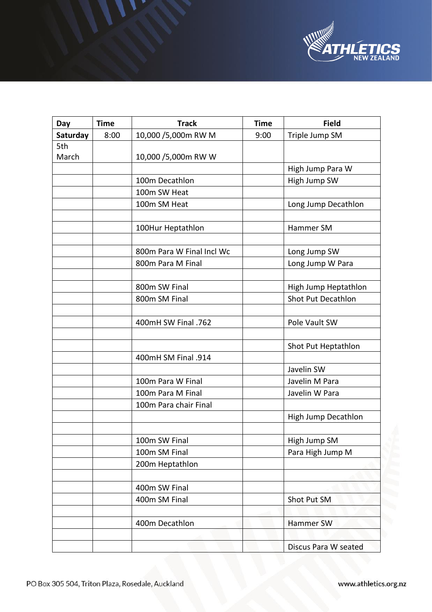

| Day      | <b>Time</b> | <b>Track</b>              | <b>Time</b> | <b>Field</b>         |
|----------|-------------|---------------------------|-------------|----------------------|
| Saturday | 8:00        | 10,000 /5,000m RW M       | 9:00        | Triple Jump SM       |
| 5th      |             |                           |             |                      |
| March    |             | 10,000 /5,000m RW W       |             |                      |
|          |             |                           |             | High Jump Para W     |
|          |             | 100m Decathlon            |             | High Jump SW         |
|          |             | 100m SW Heat              |             |                      |
|          |             | 100m SM Heat              |             | Long Jump Decathlon  |
|          |             |                           |             |                      |
|          |             | 100Hur Heptathlon         |             | Hammer SM            |
|          |             |                           |             |                      |
|          |             | 800m Para W Final Incl Wc |             | Long Jump SW         |
|          |             | 800m Para M Final         |             | Long Jump W Para     |
|          |             |                           |             |                      |
|          |             | 800m SW Final             |             | High Jump Heptathlon |
|          |             | 800m SM Final             |             | Shot Put Decathlon   |
|          |             |                           |             |                      |
|          |             | 400mH SW Final .762       |             | Pole Vault SW        |
|          |             |                           |             |                      |
|          |             |                           |             | Shot Put Heptathlon  |
|          |             | 400mH SM Final .914       |             |                      |
|          |             |                           |             | Javelin SW           |
|          |             | 100m Para W Final         |             | Javelin M Para       |
|          |             | 100m Para M Final         |             | Javelin W Para       |
|          |             | 100m Para chair Final     |             |                      |
|          |             |                           |             | High Jump Decathlon  |
|          |             |                           |             |                      |
|          |             | 100m SW Final             |             | High Jump SM         |
|          |             | 100m SM Final             |             | Para High Jump M     |
|          |             | 200m Heptathlon           |             |                      |
|          |             |                           |             |                      |
|          |             | 400m SW Final             |             |                      |
|          |             | 400m SM Final             |             | Shot Put SM          |
|          |             |                           |             |                      |
|          |             | 400m Decathlon            |             | Hammer SW            |
|          |             |                           |             |                      |
|          |             |                           |             | Discus Para W seated |